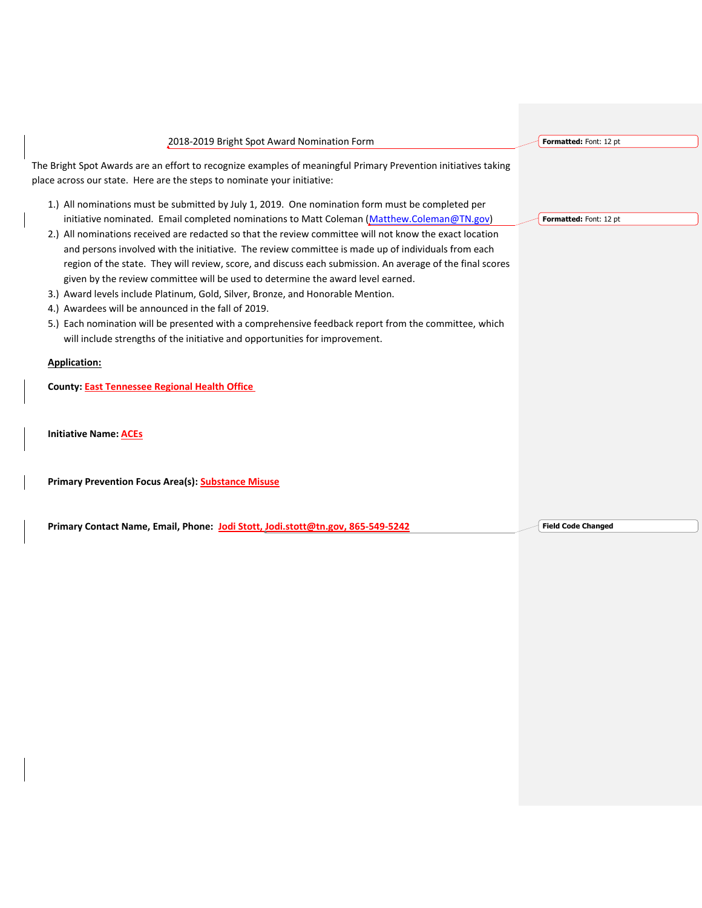| 2018-2019 Bright Spot Award Nomination Form                                                                    | Formatted: Font: 12 pt    |  |
|----------------------------------------------------------------------------------------------------------------|---------------------------|--|
| The Bright Spot Awards are an effort to recognize examples of meaningful Primary Prevention initiatives taking |                           |  |
| place across our state. Here are the steps to nominate your initiative:                                        |                           |  |
| 1.) All nominations must be submitted by July 1, 2019. One nomination form must be completed per               |                           |  |
| initiative nominated. Email completed nominations to Matt Coleman (Matthew.Coleman@TN.gov)                     | Formatted: Font: 12 pt    |  |
| 2.) All nominations received are redacted so that the review committee will not know the exact location        |                           |  |
| and persons involved with the initiative. The review committee is made up of individuals from each             |                           |  |
| region of the state. They will review, score, and discuss each submission. An average of the final scores      |                           |  |
| given by the review committee will be used to determine the award level earned.                                |                           |  |
| 3.) Award levels include Platinum, Gold, Silver, Bronze, and Honorable Mention.                                |                           |  |
| 4.) Awardees will be announced in the fall of 2019.                                                            |                           |  |
| 5.) Each nomination will be presented with a comprehensive feedback report from the committee, which           |                           |  |
| will include strengths of the initiative and opportunities for improvement.                                    |                           |  |
| <b>Application:</b>                                                                                            |                           |  |
| <b>County: East Tennessee Regional Health Office</b>                                                           |                           |  |
|                                                                                                                |                           |  |
| <b>Initiative Name: ACEs</b>                                                                                   |                           |  |
|                                                                                                                |                           |  |
| <b>Primary Prevention Focus Area(s): Substance Misuse</b>                                                      |                           |  |
|                                                                                                                |                           |  |
| Primary Contact Name, Email, Phone: Jodi Stott, Jodi.stott@tn.gov, 865-549-5242                                | <b>Field Code Changed</b> |  |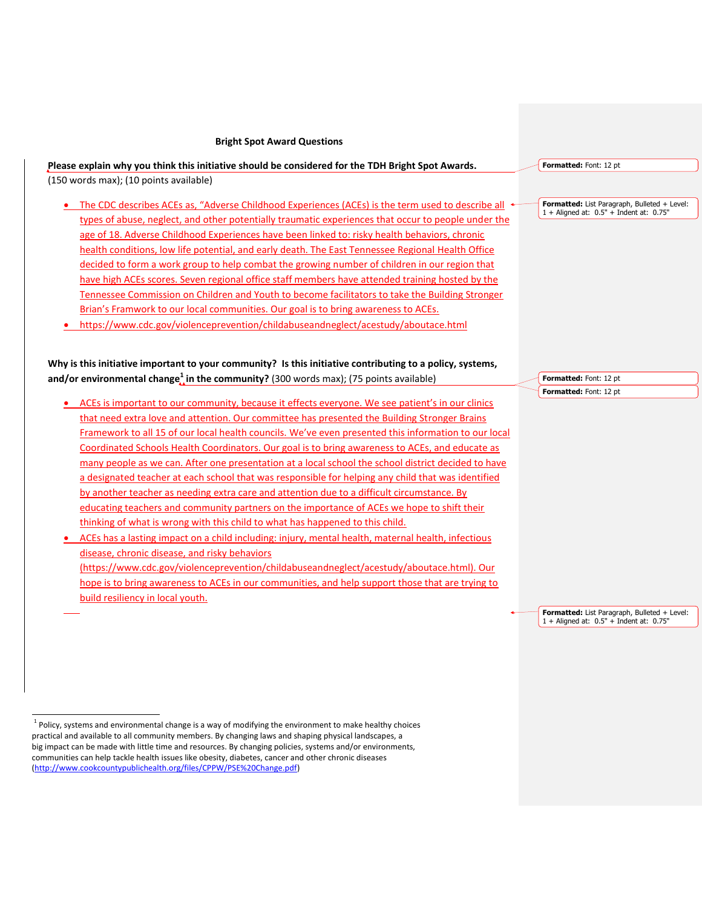## **Bright Spot Award Questions**

## **Please explain why you think this initiative should be considered for the TDH Bright Spot Awards.** (150 words max); (10 points available)

- $\bullet$  The CDC describes ACEs as, "Adverse Childhood Experiences (ACEs) is the term used to describe all  $\bullet$ types of abuse, neglect, and other potentially traumatic experiences that occur to people under the age of 18. Adverse Childhood Experiences have been linked to: risky health behaviors, chronic health conditions, low life potential, and early death. The East Tennessee Regional Health Office decided to form a work group to help combat the growing number of children in our region that have high ACEs scores. Seven regional office staff members have attended training hosted by the Tennessee Commission on Children and Youth to become facilitators to take the Building Stronger Brian's Framwork to our local communities. Our goal is to bring awareness to ACEs.
- https://www.cdc.gov/violenceprevention/childabuseandneglect/acestudy/aboutace.html

**Why is this initiative important to your community? Is this initiative contributing to a policy, systems, and/or environmental change<sup>1</sup> in the community?** (300 words max); (75 points available)

- ACEs is important to our community, because it effects everyone. We see patient's in our clinics that need extra love and attention. Our committee has presented the Building Stronger Brains Framework to all 15 of our local health councils. We've even presented this information to our local Coordinated Schools Health Coordinators. Our goal is to bring awareness to ACEs, and educate as many people as we can. After one presentation at a local school the school district decided to have a designated teacher at each school that was responsible for helping any child that was identified by another teacher as needing extra care and attention due to a difficult circumstance. By educating teachers and community partners on the importance of ACEs we hope to shift their thinking of what is wrong with this child to what has happened to this child.
- ACEs has a lasting impact on a child including: injury, mental health, maternal health, infectious disease, chronic disease, and risky behaviors (https://www.cdc.gov/violenceprevention/childabuseandneglect/acestudy/aboutace.html). Our hope is to bring awareness to ACEs in our communities, and help support those that are trying to build resiliency in local youth.

**Formatted:** Font: 12 pt

**Formatted:** List Paragraph, Bulleted + Level: 1 + Aligned at: 0.5" + Indent at: 0.75"

**Formatted:** Font: 12 pt **Formatted:** Font: 12 pt

**Formatted:** List Paragraph, Bulleted + Level: 1 + Aligned at: 0.5" + Indent at: 0.75"

 $\overline{a}$ 

<sup>&</sup>lt;sup>1</sup> Policy, systems and environmental change is a way of modifying the environment to make healthy choices practical and available to all community members. By changing laws and shaping physical landscapes, a big impact can be made with little time and resources. By changing policies, systems and/or environments, communities can help tackle health issues like obesity, diabetes, cancer and other chronic diseases [\(http://www.cookcountypublichealth.org/files/CPPW/PSE%20Change.pdf\)](http://www.cookcountypublichealth.org/files/CPPW/PSE%20Change.pdf)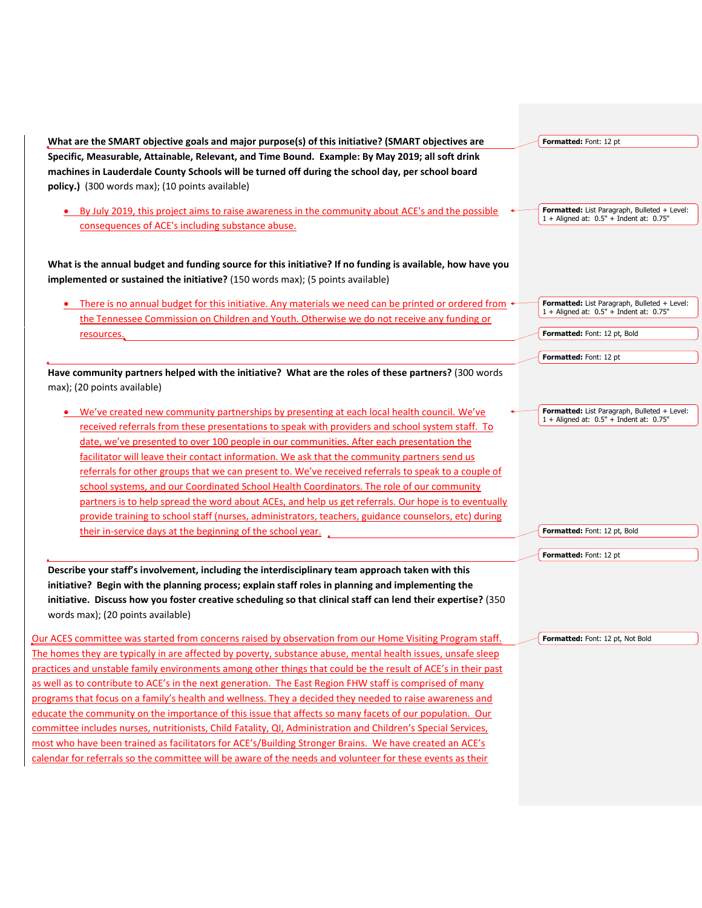| What are the SMART objective goals and major purpose(s) of this initiative? (SMART objectives are<br>Specific, Measurable, Attainable, Relevant, and Time Bound. Example: By May 2019; all soft drink | Formatted: Font: 12 pt                                                                      |
|-------------------------------------------------------------------------------------------------------------------------------------------------------------------------------------------------------|---------------------------------------------------------------------------------------------|
| machines in Lauderdale County Schools will be turned off during the school day, per school board                                                                                                      |                                                                                             |
| policy.) (300 words max); (10 points available)                                                                                                                                                       |                                                                                             |
|                                                                                                                                                                                                       |                                                                                             |
| • By July 2019, this project aims to raise awareness in the community about ACE's and the possible                                                                                                    | Formatted: List Paragraph, Bulleted + Level:                                                |
| consequences of ACE's including substance abuse.                                                                                                                                                      | $1 +$ Aligned at: $0.5"$ + Indent at: 0.75"                                                 |
|                                                                                                                                                                                                       |                                                                                             |
| What is the annual budget and funding source for this initiative? If no funding is available, how have you                                                                                            |                                                                                             |
| implemented or sustained the initiative? (150 words max); (5 points available)                                                                                                                        |                                                                                             |
|                                                                                                                                                                                                       |                                                                                             |
| There is no annual budget for this initiative. Any materials we need can be printed or ordered from $\cdot$                                                                                           | Formatted: List Paragraph, Bulleted + Level:<br>1 + Aligned at: 0.5" + Indent at: 0.75"     |
| the Tennessee Commission on Children and Youth. Otherwise we do not receive any funding or                                                                                                            |                                                                                             |
| resources.                                                                                                                                                                                            | Formatted: Font: 12 pt, Bold                                                                |
|                                                                                                                                                                                                       | Formatted: Font: 12 pt                                                                      |
| Have community partners helped with the initiative? What are the roles of these partners? (300 words                                                                                                  |                                                                                             |
| max); (20 points available)                                                                                                                                                                           |                                                                                             |
|                                                                                                                                                                                                       |                                                                                             |
| We've created new community partnerships by presenting at each local health council. We've                                                                                                            | Formatted: List Paragraph, Bulleted + Level:<br>$1 +$ Aligned at: $0.5"$ + Indent at: 0.75" |
| received referrals from these presentations to speak with providers and school system staff. To                                                                                                       |                                                                                             |
| date, we've presented to over 100 people in our communities. After each presentation the                                                                                                              |                                                                                             |
| facilitator will leave their contact information. We ask that the community partners send us                                                                                                          |                                                                                             |
| referrals for other groups that we can present to. We've received referrals to speak to a couple of                                                                                                   |                                                                                             |
| school systems, and our Coordinated School Health Coordinators. The role of our community                                                                                                             |                                                                                             |
| partners is to help spread the word about ACEs, and help us get referrals. Our hope is to eventually                                                                                                  |                                                                                             |
| provide training to school staff (nurses, administrators, teachers, guidance counselors, etc) during                                                                                                  |                                                                                             |
| their in-service days at the beginning of the school year.                                                                                                                                            | Formatted: Font: 12 pt, Bold                                                                |
|                                                                                                                                                                                                       | Formatted: Font: 12 pt                                                                      |
| Describe your staff's involvement, including the interdisciplinary team approach taken with this                                                                                                      |                                                                                             |
| initiative? Begin with the planning process; explain staff roles in planning and implementing the                                                                                                     |                                                                                             |
| initiative. Discuss how you foster creative scheduling so that clinical staff can lend their expertise? (350                                                                                          |                                                                                             |
| words max); (20 points available)                                                                                                                                                                     |                                                                                             |
|                                                                                                                                                                                                       |                                                                                             |
| Our ACES committee was started from concerns raised by observation from our Home Visiting Program staff.                                                                                              | Formatted: Font: 12 pt, Not Bold                                                            |
| The homes they are typically in are affected by poverty, substance abuse, mental health issues, unsafe sleep                                                                                          |                                                                                             |
| practices and unstable family environments among other things that could be the result of ACE's in their past                                                                                         |                                                                                             |
| as well as to contribute to ACE's in the next generation. The East Region FHW staff is comprised of many                                                                                              |                                                                                             |
| programs that focus on a family's health and wellness. They a decided they needed to raise awareness and                                                                                              |                                                                                             |
| educate the community on the importance of this issue that affects so many facets of our population. Our                                                                                              |                                                                                             |
| committee includes nurses, nutritionists, Child Fatality, QI, Administration and Children's Special Services,                                                                                         |                                                                                             |
| most who have been trained as facilitators for ACE's/Building Stronger Brains. We have created an ACE's                                                                                               |                                                                                             |
| calendar for referrals so the committee will be aware of the needs and volunteer for these events as their                                                                                            |                                                                                             |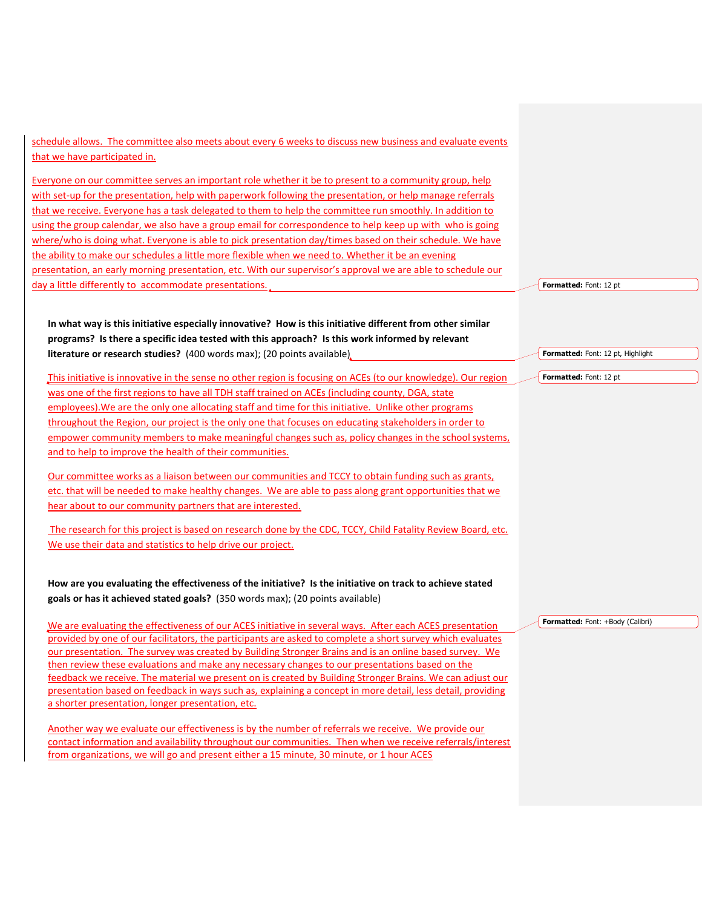schedule allows. The committee also meets about every 6 weeks to discuss new business and evaluate events that we have participated in.

Everyone on our committee serves an important role whether it be to present to a community group, help with set-up for the presentation, help with paperwork following the presentation, or help manage referrals that we receive. Everyone has a task delegated to them to help the committee run smoothly. In addition to using the group calendar, we also have a group email for correspondence to help keep up with who is going where/who is doing what. Everyone is able to pick presentation day/times based on their schedule. We have the ability to make our schedules a little more flexible when we need to. Whether it be an evening presentation, an early morning presentation, etc. With our supervisor's approval we are able to schedule our day a little differently to accommodate presentations.

**In what way is this initiative especially innovative? How is this initiative different from other similar programs? Is there a specific idea tested with this approach? Is this work informed by relevant literature or research studies?** (400 words max); (20 points available)

This initiative is innovative in the sense no other region is focusing on ACEs (to our knowledge). Our region was one of the first regions to have all TDH staff trained on ACEs (including county, DGA, state employees).We are the only one allocating staff and time for this initiative. Unlike other programs throughout the Region, our project is the only one that focuses on educating stakeholders in order to empower community members to make meaningful changes such as, policy changes in the school systems, and to help to improve the health of their communities.

Our committee works as a liaison between our communities and TCCY to obtain funding such as grants, etc. that will be needed to make healthy changes. We are able to pass along grant opportunities that we hear about to our community partners that are interested.

The research for this project is based on research done by the CDC, TCCY, Child Fatality Review Board, etc. We use their data and statistics to help drive our project.

**How are you evaluating the effectiveness of the initiative? Is the initiative on track to achieve stated goals or has it achieved stated goals?** (350 words max); (20 points available)

We are evaluating the effectiveness of our ACES initiative in several ways. After each ACES presentation provided by one of our facilitators, the participants are asked to complete a short survey which evaluates our presentation. The survey was created by Building Stronger Brains and is an online based survey. We then review these evaluations and make any necessary changes to our presentations based on the feedback we receive. The material we present on is created by Building Stronger Brains. We can adjust our presentation based on feedback in ways such as, explaining a concept in more detail, less detail, providing a shorter presentation, longer presentation, etc.

Another way we evaluate our effectiveness is by the number of referrals we receive. We provide our contact information and availability throughout our communities. Then when we receive referrals/interest from organizations, we will go and present either a 15 minute, 30 minute, or 1 hour ACES

**Formatted:** Font: 12 pt

**Formatted:** Font: 12 pt, Highlight

**Formatted:** Font: 12 pt

**Formatted:** Font: +Body (Calibri)